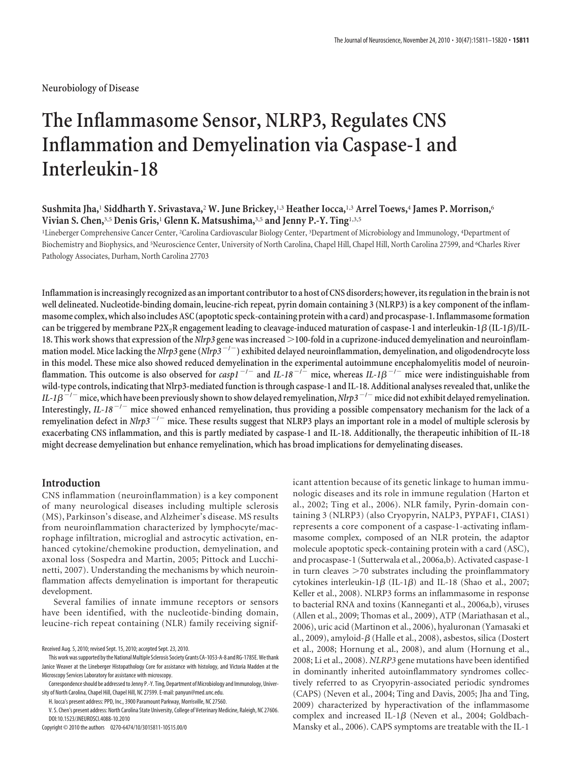**Neurobiology of Disease**

# **The Inflammasome Sensor, NLRP3, Regulates CNS Inflammation and Demyelination via Caspase-1 and Interleukin-18**

### **Sushmita Jha,**<sup>1</sup> **Siddharth Y. Srivastava,**<sup>2</sup> **W. June Brickey,**1,3 **Heather Iocca,**1,3 **Arrel Toews,**<sup>4</sup> **James P. Morrison,**<sup>6</sup> **Vivian S. Chen,**3,5 **Denis Gris,**<sup>1</sup> **Glenn K. Matsushima,**3,5 **and Jenny P.-Y. Ting**1,3,5

<sup>1</sup>Lineberger Comprehensive Cancer Center, <sup>2</sup>Carolina Cardiovascular Biology Center, <sup>3</sup>Department of Microbiology and Immunology, <sup>4</sup>Department of Biochemistry and Biophysics, and <sup>5</sup>Neuroscience Center, University of North Carolina, Chapel Hill, Chapel Hill, North Carolina 27599, and <sup>6</sup>Charles River Pathology Associates, Durham, North Carolina 27703

**Inflammation is increasingly recognized as an important contributor to a host of CNS disorders; however, its regulation in the brain is not well delineated. Nucleotide-binding domain, leucine-rich repeat, pyrin domain containing 3 (NLRP3) is a key component of the inflammasome complex, which also includes ASC (apoptotic speck-containing protein with a card) and procaspase-1. Inflammasome formation** can be triggered by membrane P2X<sub>7</sub>R engagement leading to cleavage-induced maturation of caspase-1 and interleukin-1 $\beta$  (IL-1 $\beta$ )/IL-**18. This work shows that expression of the** *Nlrp3* **gene was increased 100-fold in a cuprizone-induced demyelination and neuroinflam**mation model. Mice lacking the *Nlrp3* gene (*Nlrp3*<sup>-/-</sup>) exhibited delayed neuroinflammation, demyelination, and oligodendrocyte loss **in this model. These mice also showed reduced demyelination in the experimental autoimmune encephalomyelitis model of neuroin**flammation. This outcome is also observed for  $casp1^{-/-}$  and  $IL-18^{-/-}$  mice, whereas  $IL-1\beta^{-/-}$  mice were indistinguishable from **wild-type controls, indicating that Nlrp3-mediated function is through caspase-1 and IL-18. Additional analyses revealed that, unlike the**  $I = I\beta^{-/-}$  mice, which have been previously shown to show delayed remyelination,  $Nlrp3^{-/-}$  mice did not exhibit delayed remyelination. Interestingly, *IL-18<sup>-/-</sup>* mice showed enhanced remyelination, thus providing a possible compensatory mechanism for the lack of a remyelination defect in *Nlrp3*<sup>-/-</sup> mice. These results suggest that NLRP3 plays an important role in a model of multiple sclerosis by **exacerbating CNS inflammation, and this is partly mediated by caspase-1 and IL-18. Additionally, the therapeutic inhibition of IL-18 might decrease demyelination but enhance remyelination, which has broad implications for demyelinating diseases.**

#### **Introduction**

CNS inflammation (neuroinflammation) is a key component of many neurological diseases including multiple sclerosis (MS), Parkinson's disease, and Alzheimer's disease. MS results from neuroinflammation characterized by lymphocyte/macrophage infiltration, microglial and astrocytic activation, enhanced cytokine/chemokine production, demyelination, and axonal loss (Sospedra and Martin, 2005; Pittock and Lucchinetti, 2007). Understanding the mechanisms by which neuroinflammation affects demyelination is important for therapeutic development.

Several families of innate immune receptors or sensors have been identified, with the nucleotide-binding domain, leucine-rich repeat containing (NLR) family receiving signif-

Copyright © 2010 the authors 0270-6474/10/3015811-10\$15.00/0

icant attention because of its genetic linkage to human immunologic diseases and its role in immune regulation (Harton et al., 2002; Ting et al., 2006). NLR family, Pyrin-domain containing 3 (NLRP3) (also Cryopyrin, NALP3, PYPAF1, CIAS1) represents a core component of a caspase-1-activating inflammasome complex, composed of an NLR protein, the adaptor molecule apoptotic speck-containing protein with a card (ASC), and procaspase-1 (Sutterwala et al., 2006a,b). Activated caspase-1 in turn cleaves  $>70$  substrates including the proinflammatory cytokines interleukin-1 $\beta$  (IL-1 $\beta$ ) and IL-18 (Shao et al., 2007; Keller et al., 2008). NLRP3 forms an inflammasome in response to bacterial RNA and toxins (Kanneganti et al., 2006a,b), viruses (Allen et al., 2009; Thomas et al., 2009), ATP (Mariathasan et al., 2006), uric acid (Martinon et al., 2006), hyaluronan (Yamasaki et al., 2009), amyloid- $\beta$  (Halle et al., 2008), asbestos, silica (Dostert et al., 2008; Hornung et al., 2008), and alum (Hornung et al., 2008; Li et al., 2008). *NLRP3* gene mutations have been identified in dominantly inherited autoinflammatory syndromes collectively referred to as Cryopyrin-associated periodic syndromes (CAPS) (Neven et al., 2004; Ting and Davis, 2005; Jha and Ting, 2009) characterized by hyperactivation of the inflammasome complex and increased IL-1 $\beta$  (Neven et al., 2004; Goldbach-Mansky et al., 2006). CAPS symptoms are treatable with the IL-1

Received Aug. 5, 2010; revised Sept. 15, 2010; accepted Sept. 23, 2010.

This work was supported by the National Multiple Sclerosis Society Grants CA-1053-A-8 and RG-1785E. We thank Janice Weaver at the Lineberger Histopathology Core for assistance with histology, and Victoria Madden at the Microscopy Services Laboratory for assistance with microscopy.

Correspondence should be addressed to Jenny P.-Y. Ting, Department of Microbiology and Immunology, University of North Carolina, Chapel Hill, Chapel Hill, NC 27599. E-mail: panyun@med.unc.edu.

H. Iocca's present address: PPD, Inc., 3900 Paramount Parkway, Morrisville, NC 27560.

V. S. Chen's present address: North Carolina State University, College of Veterinary Medicine, Raleigh, NC 27606. DOI:10.1523/JNEUROSCI.4088-10.2010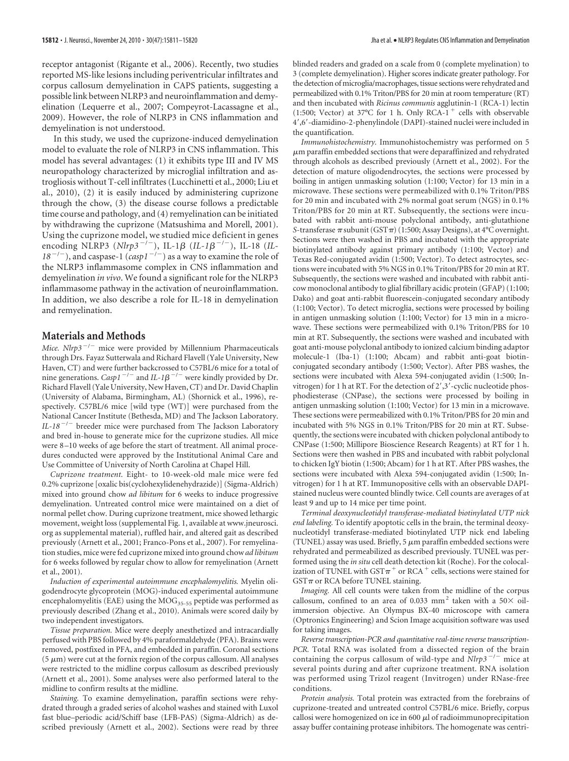receptor antagonist (Rigante et al., 2006). Recently, two studies reported MS-like lesions including periventricular infiltrates and corpus callosum demyelination in CAPS patients, suggesting a possible link between NLRP3 and neuroinflammation and demyelination (Lequerre et al., 2007; Compeyrot-Lacassagne et al., 2009). However, the role of NLRP3 in CNS inflammation and demyelination is not understood.

In this study, we used the cuprizone-induced demyelination model to evaluate the role of NLRP3 in CNS inflammation. This model has several advantages: (1) it exhibits type III and IV MS neuropathology characterized by microglial infiltration and astrogliosis without T-cell infiltrates (Lucchinetti et al., 2000; Liu et al., 2010), (2) it is easily induced by administering cuprizone through the chow, (3) the disease course follows a predictable time course and pathology, and (4) remyelination can be initiated by withdrawing the cuprizone (Matsushima and Morell, 2001). Using the cuprizone model, we studied mice deficient in genes encoding NLRP3 ( $Nlrp3^{-/-}$ ), IL-1 $\beta$  ( $IL-lβ^{-/-}$ ), IL-18 ( $IL-lp$  $18^{-/-}$ ), and caspase-1 (*casp1<sup>-/-</sup>*) as a way to examine the role of the NLRP3 inflammasome complex in CNS inflammation and demyelination *in vivo*. We found a significant role for the NLRP3 inflammasome pathway in the activation of neuroinflammation. In addition, we also describe a role for IL-18 in demyelination and remyelination.

## **Materials and Methods**

Mice. Nlrp3<sup>-/-</sup> mice were provided by Millennium Pharmaceuticals through Drs. Fayaz Sutterwala and Richard Flavell (Yale University, New Haven, CT) and were further backcrossed to C57BL/6 mice for a total of nine generations. *Casp1*<sup>-/-</sup> and *IL-1* $\beta$ <sup>-/-</sup> were kindly provided by Dr. Richard Flavell (Yale University, New Haven, CT) and Dr. David Chaplin (University of Alabama, Birmingham, AL) (Shornick et al., 1996), respectively. C57BL/6 mice [wild type (WT)] were purchased from the National Cancer Institute (Bethesda, MD) and The Jackson Laboratory. *IL-18* -/- breeder mice were purchased from The Jackson Laboratory and bred in-house to generate mice for the cuprizone studies. All mice were 8 –10 weeks of age before the start of treatment. All animal procedures conducted were approved by the Institutional Animal Care and Use Committee of University of North Carolina at Chapel Hill.

*Cuprizone treatment.* Eight- to 10-week-old male mice were fed 0.2% cuprizone [oxalic bis(cyclohexylidenehydrazide)] (Sigma-Aldrich) mixed into ground chow *ad libitum* for 6 weeks to induce progressive demyelination. Untreated control mice were maintained on a diet of normal pellet chow. During cuprizone treatment, mice showed lethargic movement, weight loss (supplemental Fig. 1, available at www.jneurosci. org as supplemental material), ruffled hair, and altered gait as described previously (Arnett et al., 2001; Franco-Pons et al., 2007). For remyelination studies, mice were fed cuprizone mixed into ground chow*ad libitum* for 6 weeks followed by regular chow to allow for remyelination (Arnett et al., 2001).

*Induction of experimental autoimmune encephalomyelitis.* Myelin oligodendrocyte glycoprotein (MOG)-induced experimental autoimmune encephalomyelitis (EAE) using the  $MOG_{35-55}$  peptide was performed as previously described (Zhang et al., 2010). Animals were scored daily by two independent investigators.

*Tissue preparation.* Mice were deeply anesthetized and intracardially perfused with PBS followed by 4% paraformaldehyde (PFA). Brains were removed, postfixed in PFA, and embedded in paraffin. Coronal sections  $(5 \mu m)$  were cut at the fornix region of the corpus callosum. All analyses were restricted to the midline corpus callosum as described previously (Arnett et al., 2001). Some analyses were also performed lateral to the midline to confirm results at the midline.

*Staining.* To examine demyelination, paraffin sections were rehydrated through a graded series of alcohol washes and stained with Luxol fast blue–periodic acid/Schiff base (LFB-PAS) (Sigma-Aldrich) as described previously (Arnett et al., 2002). Sections were read by three

blinded readers and graded on a scale from 0 (complete myelination) to 3 (complete demyelination). Higher scores indicate greater pathology. For the detection of microglia/macrophages, tissue sections were rehydrated and permeabilized with 0.1% Triton/PBS for 20 min at room temperature (RT) and then incubated with *Ricinus communis* agglutinin-1 (RCA-1) lectin (1:500; Vector) at 37°C for 1 h. Only RCA-1<sup>+</sup> cells with observable 4,6-diamidino-2-phenylindole (DAPI)-stained nuclei were included in the quantification.

*Immunohistochemistry.* Immunohistochemistry was performed on 5  $\mu$ m paraffin embedded sections that were deparaffinized and rehydrated through alcohols as described previously (Arnett et al., 2002). For the detection of mature oligodendrocytes, the sections were processed by boiling in antigen unmasking solution (1:100; Vector) for 13 min in a microwave. These sections were permeabilized with 0.1% Triton/PBS for 20 min and incubated with 2% normal goat serum (NGS) in 0.1% Triton/PBS for 20 min at RT. Subsequently, the sections were incubated with rabbit anti-mouse polyclonal antibody, anti-glutathione *S*-transferase  $\pi$  subunit (GST $\pi$ ) (1:500; Assay Designs), at 4°C overnight. Sections were then washed in PBS and incubated with the appropriate biotinylated antibody against primary antibody (1:100; Vector) and Texas Red-conjugated avidin (1:500; Vector). To detect astrocytes, sections were incubated with 5% NGS in 0.1% Triton/PBS for 20 min at RT. Subsequently, the sections were washed and incubated with rabbit anticow monoclonal antibody to glial fibrillary acidic protein (GFAP) (1:100; Dako) and goat anti-rabbit fluorescein-conjugated secondary antibody (1:100; Vector). To detect microglia, sections were processed by boiling in antigen unmasking solution (1:100; Vector) for 13 min in a microwave. These sections were permeabilized with 0.1% Triton/PBS for 10 min at RT. Subsequently, the sections were washed and incubated with goat anti-mouse polyclonal antibody to ionized calcium binding adaptor molecule-1 (Iba-1) (1:100; Abcam) and rabbit anti-goat biotinconjugated secondary antibody (1:500; Vector). After PBS washes, the sections were incubated with Alexa 594-conjugated avidin (1:500; Invitrogen) for 1 h at RT. For the detection of 2',3'-cyclic nucleotide phosphodiesterase (CNPase), the sections were processed by boiling in antigen unmasking solution (1:100; Vector) for 13 min in a microwave. These sections were permeabilized with 0.1% Triton/PBS for 20 min and incubated with 5% NGS in 0.1% Triton/PBS for 20 min at RT. Subsequently, the sections were incubated with chicken polyclonal antibody to CNPase (1:500; Millipore Bioscience Research Reagents) at RT for 1 h. Sections were then washed in PBS and incubated with rabbit polyclonal to chicken IgY biotin (1:500; Abcam) for 1 h at RT. After PBS washes, the sections were incubated with Alexa 594-conjugated avidin (1:500; Invitrogen) for 1 h at RT. Immunopositive cells with an observable DAPIstained nucleus were counted blindly twice. Cell counts are averages of at least 9 and up to 14 mice per time point.

*Terminal deoxynucleotidyl transferase-mediated biotinylated UTP nick end labeling.* To identify apoptotic cells in the brain, the terminal deoxynucleotidyl transferase-mediated biotinylated UTP nick end labeling (TUNEL) assay was used. Briefly,  $5 \mu m$  paraffin embedded sections were rehydrated and permeabilized as described previously. TUNEL was performed using the *in situ* cell death detection kit (Roche). For the colocalization of TUNEL with GST $\pi$ <sup>+</sup> or RCA<sup>+</sup> cells, sections were stained for  $GST\pi$  or RCA before TUNEL staining.

*Imaging.* All cell counts were taken from the midline of the corpus callosum, confined to an area of 0.033 mm<sup>2</sup> taken with a 50 $\times$  oilimmersion objective. An Olympus BX-40 microscope with camera (Optronics Engineering) and Scion Image acquisition software was used for taking images.

*Reverse transcription-PCR and quantitative real-time reverse transcription-PCR.* Total RNA was isolated from a dissected region of the brain containing the corpus callosum of wild-type and  $Nlrp3^{-/-}$  mice at several points during and after cuprizone treatment. RNA isolation was performed using Trizol reagent (Invitrogen) under RNase-free conditions.

*Protein analysis.* Total protein was extracted from the forebrains of cuprizone-treated and untreated control C57BL/6 mice. Briefly, corpus callosi were homogenized on ice in 600  $\mu$ l of radioimmunoprecipitation assay buffer containing protease inhibitors. The homogenate was centri-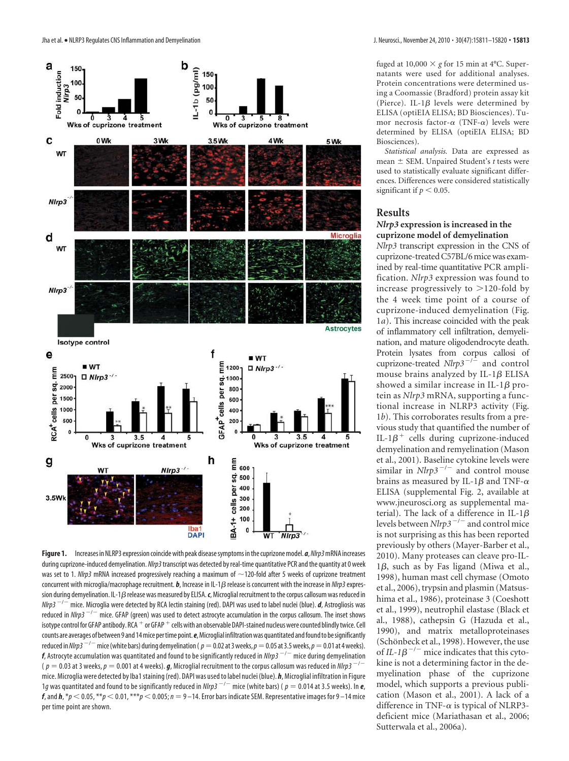

Figure 1. Increases in NLRP3 expression coincide with peak disease symptoms in the cuprizone model. *a*, Nlrp3 mRNA increases during cuprizone-induced demyelination. Nlrp3 transcript was detected by real-time quantitative PCR and the quantity at 0 week was set to 1. Nlrp3 mRNA increased progressively reaching a maximum of  $\sim$ 120-fold after 5 weeks of cuprizone treatment concurrent with microglia/macrophage recruitment. *b*, Increase in IL-1*ß* release is concurrent with the increase in *NIrp3* expression during demyelination. IL-1 $\beta$  release was measured by ELISA. c, Microglial recruitment to the corpus callosum was reduced in Nlrp3 -/- mice. Microglia were detected by RCA lectin staining (red). DAPI was used to label nuclei (blue). *d*, Astrogliosis was reduced in *Nlrp3*  $^{-/-}$  mice. GFAP (green) was used to detect astrocyte accumulation in the corpus callosum. The inset shows isotype control for GFAP antibody. RCA  $^+$  or GFAP  $^+$  cells with an observable DAPI-stained nucleus were counted blindly twice. Cell counts are averages of between 9 and 14 mice per time point.*e*, Microglial infiltration was quantitated and found to be significantly reduced in *Nlrp3*  $^{-/-}$  *m*ice (white bars) during demyelination (  $\rho=0.02$  at 3 weeks,  $\rho=0.05$  at 3.5 weeks,  $\rho=0.01$  at 4 weeks).  $f$ , Astrocyte accumulation was quantitated and found to be significantly reduced in *Nlrp3*  $^{-/-}$  *m*ice during demyelination  $($   $\rho =$  0.03 at 3 weeks,  $\rho =$  0.001 at 4 weeks).  $\bm{g}$ , Microglial recruitment to the corpus callosum was reduced in *NIrp3*  $^{-/-}$ mice. Microglia were detected by Iba1 staining (red). DAPI was used to label nuclei (blue). *h*, Microglial infiltration in Figure 1g was quantitated and found to be significantly reduced in *Nlrp3*  $^{-/-}$  mice (white bars) (  $p = 0.014$  at 3.5 weeks). In **e**, *f*, and *h*,  $*_p$  < 0.05,  $*_p$  < 0.01,  $_{**p}$  < 0.005;  $n = 9$  – 14. Error bars indicate SEM. Representative images for 9 – 14 mice per time point are shown.

fuged at  $10,000 \times g$  for 15 min at 4°C. Supernatants were used for additional analyses. Protein concentrations were determined using a Coomassie (Bradford) protein assay kit (Pierce). IL-1 $\beta$  levels were determined by ELISA (optiEIA ELISA; BD Biosciences). Tumor necrosis factor- $\alpha$  (TNF- $\alpha$ ) levels were determined by ELISA (optiEIA ELISA; BD Biosciences).

*Statistical analysis.* Data are expressed as mean  $\pm$  SEM. Unpaired Student's *t* tests were used to statistically evaluate significant differences. Differences were considered statistically significant if  $p < 0.05$ .

#### **Results**

## *Nlrp3* **expression is increased in the cuprizone model of demyelination**

*Nlrp3* transcript expression in the CNS of cuprizone-treated C57BL/6 mice was examined by real-time quantitative PCR amplification. *Nlrp3* expression was found to increase progressively to  $>120$ -fold by the 4 week time point of a course of cuprizone-induced demyelination (Fig. 1*a*). This increase coincided with the peak of inflammatory cell infiltration, demyelination, and mature oligodendrocyte death. Protein lysates from corpus callosi of cuprizone-treated  $N l r p 3^{-1/2}$  and control mouse brains analyzed by IL-1 $\beta$  ELISA showed a similar increase in IL-1 $\beta$  protein as *Nlrp3* mRNA, supporting a functional increase in NLRP3 activity (Fig. 1*b*). This corroborates results from a previous study that quantified the number of IL-1 $\beta^+$  cells during cuprizone-induced demyelination and remyelination (Mason et al., 2001). Baseline cytokine levels were similar in  $Nlrp3^{-/-}$  and control mouse brains as measured by IL-1 $\beta$  and TNF- $\alpha$ ELISA (supplemental Fig. 2, available at www.jneurosci.org as supplemental material). The lack of a difference in IL-1 $\beta$ levels between *Nlrp3<sup>-/-</sup>* and control mice is not surprising as this has been reported previously by others (Mayer-Barber et al., 2010). Many proteases can cleave pro-IL- $1\beta$ , such as by Fas ligand (Miwa et al., 1998), human mast cell chymase (Omoto et al., 2006), trypsin and plasmin (Matsushima et al., 1986), proteinase 3 (Coeshott et al., 1999), neutrophil elastase (Black et al., 1988), cathepsin G (Hazuda et al., 1990), and matrix metalloproteinases (Schönbeck et al., 1998). However, the use of  $IL-1\beta$ <sup>-/-</sup> mice indicates that this cytokine is not a determining factor in the demyelination phase of the cuprizone model, which supports a previous publication (Mason et al., 2001). A lack of a difference in TNF- $\alpha$  is typical of NLRP3deficient mice (Mariathasan et al., 2006; Sutterwala et al., 2006a).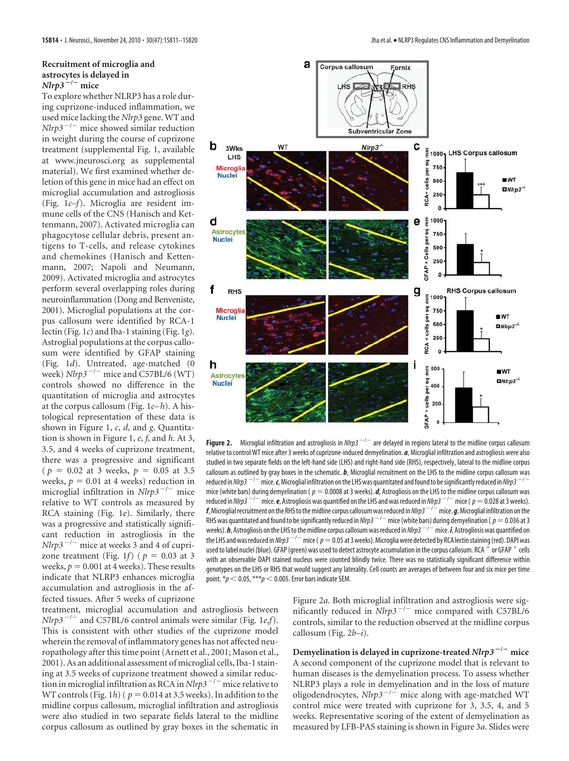#### **Recruitment of microglia and astrocytes is delayed in**  $N$ *lrp*3<sup> $-/-$ </sup> mice

To explore whether NLRP3 has a role during cuprizone-induced inflammation, we used mice lacking the *Nlrp3* gene. WT and *Nlrp3* -/- mice showed similar reduction in weight during the course of cuprizone treatment (supplemental Fig. 1, available at www.jneurosci.org as supplemental material). We first examined whether deletion of this gene in mice had an effect on microglial accumulation and astrogliosis (Fig. 1*c–f*). Microglia are resident immune cells of the CNS (Hanisch and Kettenmann, 2007). Activated microglia can phagocytose cellular debris, present antigens to T-cells, and release cytokines and chemokines (Hanisch and Kettenmann, 2007; Napoli and Neumann, 2009). Activated microglia and astrocytes perform several overlapping roles during neuroinflammation (Dong and Benveniste, 2001). Microglial populations at the corpus callosum were identified by RCA-1 lectin (Fig. 1*c*) and Iba-1 staining (Fig. 1*g*). Astroglial populations at the corpus callosum were identified by GFAP staining (Fig. 1*d*). Untreated, age-matched (0 week)  $N l r p 3^{-/-}$  mice and C57BL/6 (WT) controls showed no difference in the quantitation of microglia and astrocytes at the corpus callosum (Fig. 1*c– h*). A histological representation of these data is shown in Figure 1, *c*, *d*, and *g*. Quantitation is shown in Figure 1, *e*, *f*, and *h*. At 3, 3.5, and 4 weeks of cuprizone treatment, there was a progressive and significant  $(p = 0.02 \text{ at } 3 \text{ weeks}, p = 0.05 \text{ at } 3.5)$ weeks,  $p = 0.01$  at 4 weeks) reduction in microglial infiltration in *Nlrp3<sup>-/-</sup>* mice relative to WT controls as measured by RCA staining (Fig. 1*e*). Similarly, there was a progressive and statistically significant reduction in astrogliosis in the  $Nlrp3^{-/-}$  mice at weeks 3 and 4 of cuprizone treatment (Fig. 1*f*) ( $p = 0.03$  at 3 weeks,  $p = 0.001$  at 4 weeks). These results indicate that NLRP3 enhances microglia accumulation and astrogliosis in the affected tissues. After 5 weeks of cuprizone

treatment, microglial accumulation and astrogliosis between *Nlrp3* -/- and C57BL/6 control animals were similar (Fig. 1*e*,*f*). This is consistent with other studies of the cuprizone model wherein the removal of inflammatory genes has not affected neuropathology after this time point (Arnett et al., 2001; Mason et al., 2001). As an additional assessment of microglial cells, Iba-1 staining at 3.5 weeks of cuprizone treatment showed a similar reduction in microglial infiltration as RCA in *Nlrp3* -/- mice relative to WT controls (Fig. 1*h*) ( $p = 0.014$  at 3.5 weeks). In addition to the midline corpus callosum, microglial infiltration and astrogliosis were also studied in two separate fields lateral to the midline corpus callosum as outlined by gray boxes in the schematic in



**Figure 2.** Microglial infiltration and astrogliosis in NIrp3<sup>-/-</sup> are delayed in regions lateral to the midline corpus callosum relative to control WT mice after 3 weeks of cuprizone-induced demyelination. *a*, Microglial infiltration and astrogliosis were also studied in two separate fields on the left-hand side (LHS) and right-hand side (RHS), respectively, lateral to the midline corpus callosum as outlined by gray boxes in the schematic. *b*, Microglial recruitment on the LHS to the midline corpus callosum was reduced in *Nlrp3* <sup>-/-</sup> mice. **c**, Microglial infiltration on the LHS was quantitated and found to be significantly reduced in *Nlrp3* <sup>-/-</sup> mice (white bars) during demyelination ( $p = 0.0008$  at 3 weeks). *d*, Astrogliosis on the LHS to the midline corpus callosum was reduced in *Nlrp3*  $^{-/-}$  mice. **e**, Astrogliosis was quantified on the LHS and was reduced in *Nlrp3*  $^{-/-}$  mice (  $p = 0.028$  at 3 weeks). *f*, Microglial recruitment on the RHS to the midline corpus callosum was reduced inNlrp3 -/- mice. *g*, Microglial infiltration on the your symmetry and the stream of the significantly reduced in *Nlrp3*  $^{-/-}$  mice (white bars) during demyelination (  $p = 0.036$  at 3 weeks). **h**, Astrogliosis on the LHS to the midline corpus callosum was reduced in *Nlrp3 - <sup>- -</sup>* mice. **i**, Astrogliosis was quantified on the LHS and was reduced in *Nlrp3*  $^{-/-}$  mice (  $p = 0.05$  at 3 weeks). Microglia were detected by RCA lectin staining (red). DAPI was nuclei and nuclei (blue). GFAP (green) was used to detect astrocyte accumulation in the corpus callosum. RCA <sup>+</sup> or GFAP <sup>+</sup> cells with an observable DAPI stained nucleus were counted blindly twice. There was no statistically significant difference within genotypes on the LHS or RHS that would suggest any laterality. Cell counts are averages of between four and six mice per time point.  $* p < 0.05$ ,  $** p < 0.005$ . Error bars indicate SEM.

Figure 2*a*. Both microglial infiltration and astrogliosis were significantly reduced in *Nlrp3<sup>-/-</sup>* mice compared with C57BL/6 controls, similar to the reduction observed at the midline corpus callosum (Fig. 2*b–i*).

**Demyelination is delayed in cuprizone-treated** *Nlrp3* **/ mice** A second component of the cuprizone model that is relevant to human diseases is the demyelination process. To assess whether NLRP3 plays a role in demyelination and in the loss of mature oligodendrocytes, *Nlrp3* -/- mice along with age-matched WT control mice were treated with cuprizone for 3, 3.5, 4, and 5 weeks. Representative scoring of the extent of demyelination as measured by LFB-PAS staining is shown in Figure 3*a*. Slides were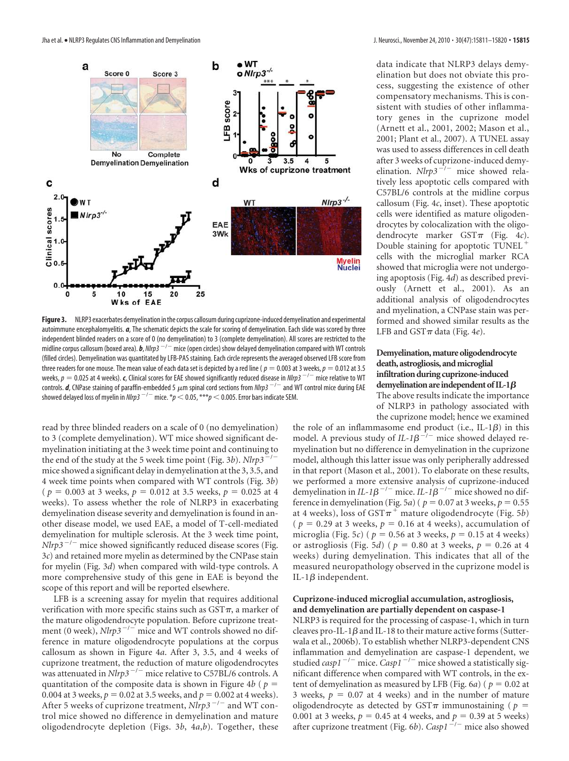

**Figure 3.** NLRP3 exacerbates demyelination in the corpus callosum during cuprizone-induced demyelination and experimental autoimmune encephalomyelitis. *a*, The schematic depicts the scale for scoring of demyelination. Each slide was scored by three independent blinded readers on a score of 0 (no demyelination) to 3 (complete demyelination). All scores are restricted to the midline corpus callosum (boxed area). *b*, Nlrp3 -/- mice (open circles) show delayed demyelination compared with WT controls (filled circles). Demyelination was quantitated by LFB-PAS staining. Each circle represents the averaged observed LFB score from three readers for one mouse. The mean value of each data set is depicted by a red line ( $p = 0.003$  at 3 weeks,  $p = 0.012$  at 3.5 weeks,  $p = 0.025$  at 4 weeks). **c**, Clinical scores for EAE showed significantly reduced disease in *Nlrp3* <sup>-/-</sup> mice relative to WT controls. *d*, CNPase staining of paraffin-embedded 5  $\mu$ m spinal cord sections from NIrp3  $^{-/-}$  and WT control mice during EAE showed delayed loss of myelin in  $Nlrp3^{-/-}$  mice.  $/p < 0.05$ ,  $***p < 0.005$ . Error bars indicate SEM.

read by three blinded readers on a scale of 0 (no demyelination) to 3 (complete demyelination). WT mice showed significant demyelination initiating at the 3 week time point and continuing to the end of the study at the 5 week time point (Fig. 3*b*). *Nlrp3*<sup> $-/-$ </sup> mice showed a significant delay in demyelination at the 3, 3.5, and 4 week time points when compared with WT controls (Fig. 3*b*) ( $p = 0.003$  at 3 weeks,  $p = 0.012$  at 3.5 weeks,  $p = 0.025$  at 4 weeks). To assess whether the role of NLRP3 in exacerbating demyelination disease severity and demyelination is found in another disease model, we used EAE, a model of T-cell-mediated demyelination for multiple sclerosis. At the 3 week time point, *Nlrp3<sup>-/-</sup>* mice showed significantly reduced disease scores (Fig. 3*c*) and retained more myelin as determined by the CNPase stain for myelin (Fig. 3*d*) when compared with wild-type controls. A more comprehensive study of this gene in EAE is beyond the scope of this report and will be reported elsewhere.

LFB is a screening assay for myelin that requires additional verification with more specific stains such as  $GST\pi$ , a marker of the mature oligodendrocyte population. Before cuprizone treatment (0 week),  $N l r p 3^{-1}$  mice and WT controls showed no difference in mature oligodendrocyte populations at the corpus callosum as shown in Figure 4*a*. After 3, 3.5, and 4 weeks of cuprizone treatment, the reduction of mature oligodendrocytes was attenuated in *Nlrp3* -/- mice relative to C57BL/6 controls. A quantitation of the composite data is shown in Figure  $4b$  ( $p =$ 0.004 at 3 weeks,  $p = 0.02$  at 3.5 weeks, and  $p = 0.002$  at 4 weeks). After 5 weeks of cuprizone treatment,  $Nlrp3^{-/-}$  and WT control mice showed no difference in demyelination and mature oligodendrocyte depletion (Figs. 3*b*, 4*a*,*b*). Together, these

data indicate that NLRP3 delays demyelination but does not obviate this process, suggesting the existence of other compensatory mechanisms. This is consistent with studies of other inflammatory genes in the cuprizone model (Arnett et al., 2001, 2002; Mason et al., 2001; Plant et al., 2007). A TUNEL assay was used to assess differences in cell death after 3 weeks of cuprizone-induced demyelination.  $Nlrp3^{-1/2}$  mice showed relatively less apoptotic cells compared with C57BL/6 controls at the midline corpus callosum (Fig. 4*c*, inset). These apoptotic cells were identified as mature oligodendrocytes by colocalization with the oligodendrocyte marker  $GST\pi$  (Fig. 4*c*). Double staining for apoptotic TUNEL cells with the microglial marker RCA showed that microglia were not undergoing apoptosis (Fig. 4*d*) as described previously (Arnett et al., 2001). As an additional analysis of oligodendrocytes and myelination, a CNPase stain was performed and showed similar results as the LFB and  $GST\pi$  data (Fig. 4*e*).

#### **Demyelination, mature oligodendrocyte death, astrogliosis, and microglial infiltration during cuprizone-induced** demyelination are independent of IL-1 $\beta$ The above results indicate the importance of NLRP3 in pathology associated with the cuprizone model; hence we examined

the role of an inflammasome end product (i.e., IL-1 $\beta$ ) in this model. A previous study of  $IL-1\beta^{-/-}$  mice showed delayed remyelination but no difference in demyelination in the cuprizone model, although this latter issue was only peripherally addressed in that report (Mason et al., 2001). To elaborate on these results, we performed a more extensive analysis of cuprizone-induced demyelination in  $IL-1\beta^{-/-}$  mice.  $IL-1\beta^{-/-}$  mice showed no difference in demyelination (Fig. 5*a*) ( $p = 0.07$  at 3 weeks,  $p = 0.55$ at 4 weeks), loss of  $GST\pi^+$  mature oligodendrocyte (Fig. 5*b*) ( $p = 0.29$  at 3 weeks,  $p = 0.16$  at 4 weeks), accumulation of microglia (Fig. 5*c*) ( $p = 0.56$  at 3 weeks,  $p = 0.15$  at 4 weeks) or astrogliosis (Fig. 5*d*) ( $p = 0.80$  at 3 weeks,  $p = 0.26$  at 4 weeks) during demyelination. This indicates that all of the measured neuropathology observed in the cuprizone model is IL-1 $\beta$  independent.

## **Cuprizone-induced microglial accumulation, astrogliosis, and demyelination are partially dependent on caspase-1**

NLRP3 is required for the processing of caspase-1, which in turn cleaves pro-IL-1 $\beta$  and IL-18 to their mature active forms (Sutterwala et al., 2006b). To establish whether NLRP3-dependent CNS inflammation and demyelination are caspase-1 dependent, we studied *casp1*<sup>-/-</sup> mice. *Casp1*<sup>-/-</sup> mice showed a statistically significant difference when compared with WT controls, in the extent of demyelination as measured by LFB (Fig.  $6a$ ) ( $p = 0.02$  at 3 weeks,  $p = 0.07$  at 4 weeks) and in the number of mature oligodendrocyte as detected by GST $\pi$  immunostaining ( $p =$ 0.001 at 3 weeks,  $p = 0.45$  at 4 weeks, and  $p = 0.39$  at 5 weeks) after cuprizone treatment (Fig.  $6b$ ). *Casp1*<sup>-/-</sup> mice also showed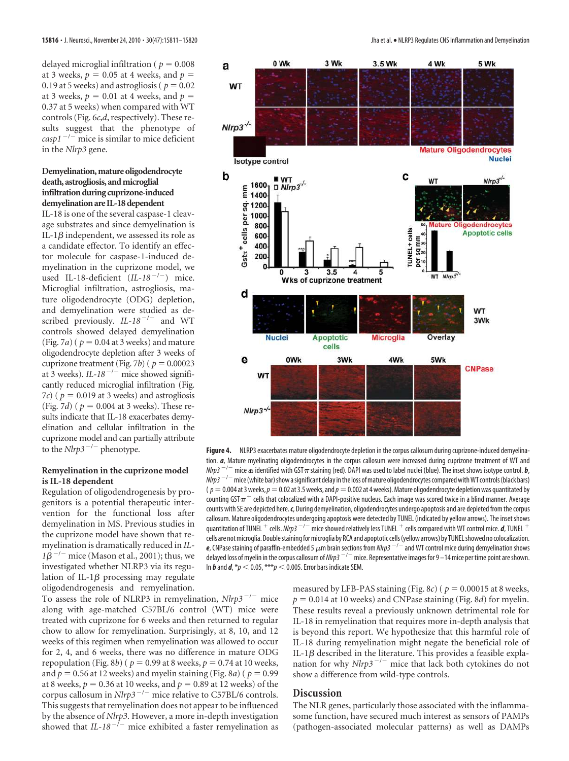delayed microglial infiltration ( $p = 0.008$ ) at 3 weeks,  $p = 0.05$  at 4 weeks, and  $p =$ 0.19 at 5 weeks) and astrogliosis ( $p = 0.02$ at 3 weeks,  $p = 0.01$  at 4 weeks, and  $p =$ 0.37 at 5 weeks) when compared with WT controls (Fig. 6*c*,*d*, respectively). These results suggest that the phenotype of  $\frac{c^{3}}{2}$   $\frac{c^{5}}{100}$  mice is similar to mice deficient in the *Nlrp3* gene.

#### **Demyelination, mature oligodendrocyte death, astrogliosis, and microglial infiltration during cuprizone-induced demyelination are IL-18 dependent**

IL-18 is one of the several caspase-1 cleavage substrates and since demyelination is IL-1 $\beta$  independent, we assessed its role as a candidate effector. To identify an effector molecule for caspase-1-induced demyelination in the cuprizone model, we used IL-18-deficient (*IL-18<sup>-/-</sup>*) mice. Microglial infiltration, astrogliosis, mature oligodendrocyte (ODG) depletion, and demyelination were studied as described previously. *IL-18<sup>-/-</sup>* and WT controls showed delayed demyelination (Fig. 7*a*) ( $p = 0.04$  at 3 weeks) and mature oligodendrocyte depletion after 3 weeks of cuprizone treatment (Fig. 7*b*) ( $p = 0.00023$ at 3 weeks). *IL-18<sup>-/-</sup>* mice showed significantly reduced microglial infiltration (Fig. 7*c*) ( $p = 0.019$  at 3 weeks) and astrogliosis (Fig. 7*d*) ( $p = 0.004$  at 3 weeks). These results indicate that IL-18 exacerbates demyelination and cellular infiltration in the cuprizone model and can partially attribute to the  $Nlrp3^{-/-}$  phenotype.

#### **Remyelination in the cuprizone model is IL-18 dependent**

Regulation of oligodendrogenesis by progenitors is a potential therapeutic intervention for the functional loss after demyelination in MS. Previous studies in the cuprizone model have shown that remyelination is dramatically reduced in *IL-* $1\beta^{-/-}$  mice (Mason et al., 2001); thus, we investigated whether NLRP3 via its regulation of IL-1 $\beta$  processing may regulate oligodendrogenesis and remyelination.

To assess the role of NLRP3 in remyelination, *Nlrp3<sup>-/-</sup>* mice along with age-matched C57BL/6 control (WT) mice were treated with cuprizone for 6 weeks and then returned to regular chow to allow for remyelination. Surprisingly, at 8, 10, and 12 weeks of this regimen when remyelination was allowed to occur for 2, 4, and 6 weeks, there was no difference in mature ODG repopulation (Fig. 8*b*) ( $p = 0.99$  at 8 weeks,  $p = 0.74$  at 10 weeks, and  $p = 0.56$  at 12 weeks) and myelin staining (Fig. 8*a*) ( $p = 0.99$ at 8 weeks,  $p = 0.36$  at 10 weeks, and  $p = 0.89$  at 12 weeks) of the corpus callosum in *Nlrp3* -/- mice relative to C57BL/6 controls. This suggests that remyelination does not appear to be influenced by the absence of *Nlrp3*. However, a more in-depth investigation showed that  $IL-18^{-/-}$  mice exhibited a faster remyelination as



**Figure 4.** NLRP3 exacerbates mature oligodendrocyte depletion in the corpus callosum during cuprizone-induced demyelination. *a*, Mature myelinating oligodendrocytes in the corpus callosum were increased during cuprizone treatment of WT and nearly, the as identified with GST  $\pi$  staining (red). DAPI was used to label nuclei (blue). The inset shows isotype control. *b*,  $\frac{dP}{dt}$  in the assignment of the inset shows isotype control. *b*, nleps -/- mice tendenced man to the canning (corporate the loss of mature oligodendrocytes compared with WT controls (black bars)<br>Nlrp3 -<sup>/-</sup> mice (white bar) show a significant delay in the loss of mature oligodendrocytes ( $p = 0.004$  at 3 weeks,  $p = 0.02$  at 3.5 weeks, and  $p = 0.002$  at 4 weeks). Mature oligodendrocyte depletion was quantitated by counting GST  $\pi$  + cells that colocalized with a DAPI-positive nucleus. Each image was scored twice in a blind manner. Average counts with SE are depicted here.*c*, During demyelination, oligodendrocytes undergo apoptosis and are depleted from the corpus callosum. Mature oligodendrocytes undergoing apoptosis were detected by TUNEL (indicated by yellow arrows). The inset shows annot microscopy of the set of the set of the showed relatively less TUNEL<sup>+</sup> cells compared with WT control mice. *d*, TUNEL<sup>+</sup> cells. *Nlrp3*<sup>-/-</sup> mice showed relatively less TUNEL<sup>+</sup> cells compared with WT control mic cells are not microglia. Double staining for microglia by RCA and apoptotic cells (yellow arrows) by TUNEL showed no colocalization. e, CNPase staining of paraffin-embedded 5  $\mu$ m brain sections from *NIrp3*  $^{-/-}$  and WT control mice during demyelination shows delayed loss of myelin in the corpus callosum of Nlrp3 -/- mice. Representative images for 9 –14 mice per time point are shown. In *b* and  $d$ ,  $p < 0.05$ ,  $***p < 0.005$ . Error bars indicate SEM.

measured by LFB-PAS staining (Fig. 8*c*) ( $p = 0.00015$  at 8 weeks,  $p = 0.014$  at 10 weeks) and CNPase staining (Fig. 8*d*) for myelin. These results reveal a previously unknown detrimental role for IL-18 in remyelination that requires more in-depth analysis that is beyond this report. We hypothesize that this harmful role of IL-18 during remyelination might negate the beneficial role of IL-1 $\beta$  described in the literature. This provides a feasible explanation for why  $N l r p 3^{-/-}$  mice that lack both cytokines do not show a difference from wild-type controls.

## **Discussion**

The NLR genes, particularly those associated with the inflammasome function, have secured much interest as sensors of PAMPs (pathogen-associated molecular patterns) as well as DAMPs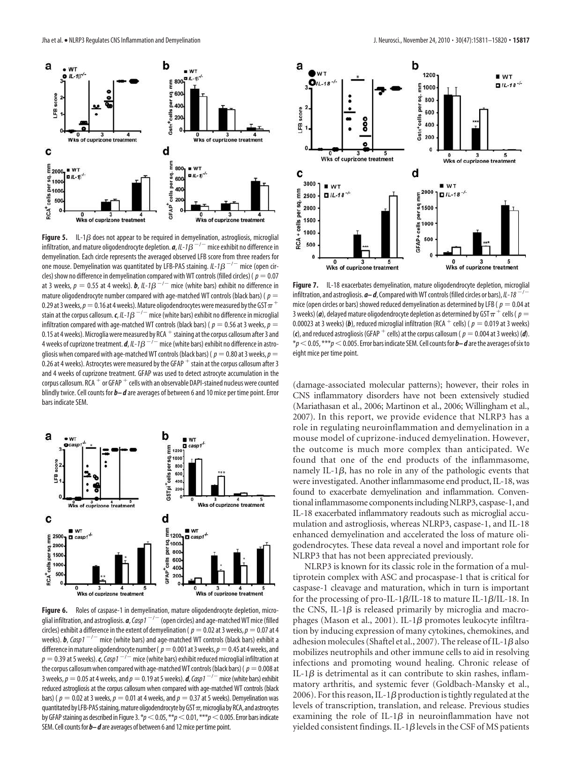

**Figure 5.** IL-1 $\beta$  does not appear to be required in demyelination, astrogliosis, microglial infiltration, and mature oligodendrocyte depletion. *a*, IL-1 -/- mice exhibit no difference in demyelination. Each circle represents the averaged observed LFB score from three readers for one mouse. Demyelination was quantitated by LFB-PAS staining.  $IL \cdot 1B^{-/-}$  mice (open circles) show no difference in demyelination compared with WT controls (filled circles) ( $p = 0.07$ at 3 weeks,  $p = 0.55$  at 4 weeks). **b**,  $1L-1\beta^{-/-}$  mice (white bars) exhibit no difference in mature oligodendrocyte number compared with age-matched WT controls (black bars) ( $p =$ 0.29 at 3 weeks,  $p =$  0.16 at 4 weeks). Mature oligodendrocytes were measured by the GST  $\pi$  + stain at the corpus callosum. *c, IL-1* $\beta$  *<sup>-/-</sup> m*ice (white bars) exhibit no difference in microglial infiltration compared with age-matched WT controls (black bars) ( $p = 0.56$  at 3 weeks,  $p =$ minimum compared that age increased by RCA + staining at the corpus callosum after 3 and 0.15 at 4 weeks). Microglia were measured by RCA + staining at the corpus callosum after 3 and 4 weeks of cuprizone treatment. *d, IL-1* $\beta$  $^{-/-}$  *m*ice (white bars) exhibit no difference in astrogliosis when compared with age-matched WT controls (black bars) ( $p = 0.80$  at 3 weeks,  $p = 0$ 0.26 at 4 weeks). Astrocytes were measured by the GFAP stain at the corpus callosum after 3 and 4 weeks of cuprizone treatment. GFAP was used to detect astrocyte accumulation in the corpus callosum. RCA or GFAP cells with an observable DAPI-stained nucleus were counted blindly twice. Cell counts for *b– d* are averages of between 6 and 10 mice per time point. Error bars indicate SEM.



Figure 6. Roles of caspase-1 in demyelination, mature oligodendrocyte depletion, microglial infiltration, and astrogliosis. *a*,Casp1 -/- (open circles) and age-matched WT mice (filled circles) exhibit a difference in the extent of demyelination ( $p = 0.02$  at 3 weeks,  $p = 0.07$  at 4 weeks). **b**, Casp1<sup>-/-</sup> mice (white bars) and age-matched WT controls (black bars) exhibit a difference in mature oligodendrocyte number ( $p = 0.001$  at 3 weeks,  $p = 0.45$  at 4 weeks, and  $p = 0.39$  at 5 weeks).  $c$ , Casp1<sup>-/-</sup> mice (white bars) exhibit reduced microglial infiltration at the corpus callosum when compared with age-matched WT controls (black bars) ( $p = 0.008$  at  $3$  weeks,  $p = 0.05$  at 4 weeks, and  $p = 0.19$  at 5 weeks). *d*, Casp1<sup>-/-</sup> mice (white bars) exhibit reduced astrogliosis at the corpus callosum when compared with age-matched WT controls (black bars) (  $p = 0.02$  at 3 weeks,  $p = 0.01$  at 4 weeks, and  $p = 0.37$  at 5 weeks). Demyelination was quantitated by LFB-PAS staining, mature oligodendrocyte by GST $\pi$ , microglia by RCA, and astrocytes by GFAP staining as described in Figure 3. \* $p<$  0.05, \*\* $p<$  0.01, \*\*\* $p<$  0.005. Error bars indicate SEM. Cell counts for *b– d* are averages of between 6 and 12 mice per time point.



**Figure 7.** IL-18 exacerbates demyelination, mature oligodendrocyte depletion, microglial<br>infiltration and astrogliosis **a-d.** Compared with WI controls (filled circles or bars), U-18<sup>-/-</sup> infiltration, and astrogliosis.  $a-d$ , Compared with WT controls (filled circles or bars), *IL-18* mice (open circles or bars) showed reduced demyelination as determined by LFB ( $p = 0.04$  at  $3$  weeks) (**a**), delayed mature oligodendrocyte depletion as determined by GST  $\pi^+$  cells (  $\rho =$  $0.00023$  at 3 weeks) (b), reduced microglial infiltration (RCA  $^+$  cells) (  $p = 0.019$  at 3 weeks) (*c*), and reduced astrogliosis (GFAP <sup>+</sup> cells) at the corpus callosum (  $p = 0.004$  at 3 weeks) (*d*).  $*p$  < 0.05,  $***p$  < 0.005. Error bars indicate SEM. Cell counts for  $b-d$  are the averages of six to eight mice per time point.

(damage-associated molecular patterns); however, their roles in CNS inflammatory disorders have not been extensively studied (Mariathasan et al., 2006; Martinon et al., 2006; Willingham et al., 2007). In this report, we provide evidence that NLRP3 has a role in regulating neuroinflammation and demyelination in a mouse model of cuprizone-induced demyelination. However, the outcome is much more complex than anticipated. We found that one of the end products of the inflammasome, namely IL-1 $\beta$ , has no role in any of the pathologic events that were investigated. Another inflammasome end product, IL-18, was found to exacerbate demyelination and inflammation. Conventional inflammasome components including NLRP3, caspase-1, and IL-18 exacerbated inflammatory readouts such as microglial accumulation and astrogliosis, whereas NLRP3, caspase-1, and IL-18 enhanced demyelination and accelerated the loss of mature oligodendrocytes. These data reveal a novel and important role for NLRP3 that has not been appreciated previously.

NLRP3 is known for its classic role in the formation of a multiprotein complex with ASC and procaspase-1 that is critical for caspase-1 cleavage and maturation, which in turn is important for the processing of pro-IL-1 $\beta$ /IL-18 to mature IL-1 $\beta$ /IL-18. In the CNS, IL-1 $\beta$  is released primarily by microglia and macrophages (Mason et al., 2001). IL-1 $\beta$  promotes leukocyte infiltration by inducing expression of many cytokines, chemokines, and adhesion molecules (Shaftel et al., 2007). The release of IL-1 $\beta$  also mobilizes neutrophils and other immune cells to aid in resolving infections and promoting wound healing. Chronic release of IL-1 $\beta$  is detrimental as it can contribute to skin rashes, inflammatory arthritis, and systemic fever (Goldbach-Mansky et al., 2006). For this reason, IL-1 $\beta$  production is tightly regulated at the levels of transcription, translation, and release. Previous studies examining the role of IL-1 $\beta$  in neuroinflammation have not yielded consistent findings. IL-1 $\beta$  levels in the CSF of MS patients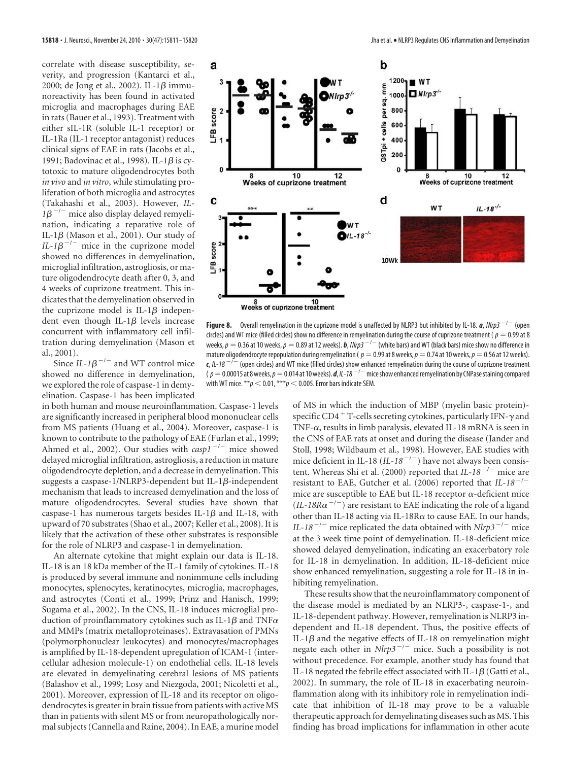correlate with disease susceptibility, severity, and progression (Kantarci et al., 2000; de Jong et al., 2002). IL-1 $\beta$  immunoreactivity has been found in activated microglia and macrophages during EAE in rats (Bauer et al., 1993). Treatment with either sIL-1R (soluble IL-1 receptor) or IL-1Ra (IL-1 receptor antagonist) reduces clinical signs of EAE in rats (Jacobs et al., 1991; Badovinac et al., 1998). IL-1 $\beta$  is cytotoxic to mature oligodendrocytes both *in vivo* and *in vitro*, while stimulating proliferation of both microglia and astrocytes (Takahashi et al., 2003). However, *IL-* $1\beta^{-/-}$  mice also display delayed remyelination, indicating a reparative role of IL-1 $\beta$  (Mason et al., 2001). Our study of  $IL-1\beta^{-/-}$  mice in the cuprizone model showed no differences in demyelination, microglial infiltration, astrogliosis, or mature oligodendrocyte death after 0, 3, and 4 weeks of cuprizone treatment. This indicates that the demyelination observed in the cuprizone model is IL-1 $\beta$  independent even though IL-1 $\beta$  levels increase concurrent with inflammatory cell infiltration during demyelination (Mason et al., 2001).

Since  $IL-1\beta^{-/-}$  and WT control mice showed no difference in demyelination, we explored the role of caspase-1 in demyelination. Caspase-1 has been implicated

in both human and mouse neuroinflammation. Caspase-1 levels are significantly increased in peripheral blood mononuclear cells from MS patients (Huang et al., 2004). Moreover, caspase-1 is known to contribute to the pathology of EAE (Furlan et al., 1999; Ahmed et al., 2002). Our studies with *casp1<sup>-/-</sup>* mice showed delayed microglial infiltration, astrogliosis, a reduction in mature oligodendrocyte depletion, and a decrease in demyelination. This suggests a caspase-1/NLRP3-dependent but IL-1 $\beta$ -independent mechanism that leads to increased demyelination and the loss of mature oligodendrocytes. Several studies have shown that caspase-1 has numerous targets besides IL-1 $\beta$  and IL-18, with upward of 70 substrates (Shao et al., 2007; Keller et al., 2008). It is likely that the activation of these other substrates is responsible for the role of NLRP3 and caspase-1 in demyelination.

An alternate cytokine that might explain our data is IL-18. IL-18 is an 18 kDa member of the IL-1 family of cytokines. IL-18 is produced by several immune and nonimmune cells including monocytes, splenocytes, keratinocytes, microglia, macrophages, and astrocytes (Conti et al., 1999; Prinz and Hanisch, 1999; Sugama et al., 2002). In the CNS, IL-18 induces microglial production of proinflammatory cytokines such as IL-1 $\beta$  and TNF $\alpha$ and MMPs (matrix metalloproteinases). Extravasation of PMNs (polymorphonuclear leukocytes) and monocytes/macrophages is amplified by IL-18-dependent upregulation of ICAM-1 (intercellular adhesion molecule-1) on endothelial cells. IL-18 levels are elevated in demyelinating cerebral lesions of MS patients (Balashov et al., 1999; Losy and Niezgoda, 2001; Nicoletti et al., 2001). Moreover, expression of IL-18 and its receptor on oligodendrocytes is greater in brain tissue from patients with active MS than in patients with silent MS or from neuropathologically normal subjects (Cannella and Raine, 2004). In EAE, a murine model



**Figure 8.** Overall remyelination in the cuprizone model is unaffected by NLRP3 but inhibited by IL-18. *a*, *NIrp3*<sup>-/-</sup> (open circles) and WT mice (filled circles) show no difference in remyelination during the course of cuprizone treatment ( $p = 0.99$  at 8 weeks,  $p = 0.36$  at 10 weeks,  $p = 0.89$  at 12 weeks).  $b$ ,  $Nlp3^{-/-}$  (white bars) and WT (black bars) mice show no difference in mature oligodendrocyte repopulation during remyelination ( $p = 0.99$  at 8 weeks,  $p = 0.74$  at 10 weeks,  $p = 0.56$  at 12 weeks). c, IL-18<sup>-/-</sup> (open circles) and WT mice (filled circles) show enhanced remyelination during the course of cuprizone treatment ( p = 0.00015 at 8 weeks, *p* = 0.014 at 10 weeks). *d*, *IL-18* <sup>-/-</sup> mice show enhanced remyelination by CNPase staining compared ( *p* = 0.00015 at 8 weeks, *p* = 0.014 at 10 weeks). *d*, *IL-18* <sup>-/-</sup> mice show enhance with WT mice.  $**p < 0.01$ ,  $***p < 0.005$ . Error bars indicate SEM.

of MS in which the induction of MBP (myelin basic protein) specific CD4<sup>+</sup> T-cells secreting cytokines, particularly IFN- $\gamma$  and TNF- $\alpha$ , results in limb paralysis, elevated IL-18 mRNA is seen in the CNS of EAE rats at onset and during the disease (Jander and Stoll, 1998; Wildbaum et al., 1998). However, EAE studies with mice deficient in IL-18 (*IL-18<sup>-/-</sup>*) have not always been consistent. Whereas Shi et al. (2000) reported that *IL-18<sup>-/-</sup>* mice are resistant to EAE, Gutcher et al. (2006) reported that *IL-18<sup>-/-</sup>* mice are susceptible to EAE but IL-18 receptor  $\alpha$ -deficient mice  $(IL-18R\alpha^{-1})$  are resistant to EAE indicating the role of a ligand other than IL-18 acting via IL-18R $\alpha$  to cause EAE. In our hands, *IL-18<sup>-/-</sup>* mice replicated the data obtained with  $Nlrp3^{-/-}$  mice at the 3 week time point of demyelination. IL-18-deficient mice showed delayed demyelination, indicating an exacerbatory role for IL-18 in demyelination. In addition, IL-18-deficient mice show enhanced remyelination, suggesting a role for IL-18 in inhibiting remyelination.

These results show that the neuroinflammatory component of the disease model is mediated by an NLRP3-, caspase-1-, and IL-18-dependent pathway. However, remyelination is NLRP3 independent and IL-18 dependent. Thus, the positive effects of IL-1 $\beta$  and the negative effects of IL-18 on remyelination might negate each other in  $Nlrp3^{-/-}$  mice. Such a possibility is not without precedence. For example, another study has found that IL-18 negated the febrile effect associated with IL-1 $\beta$  (Gatti et al., 2002). In summary, the role of IL-18 in exacerbating neuroinflammation along with its inhibitory role in remyelination indicate that inhibition of IL-18 may prove to be a valuable therapeutic approach for demyelinating diseases such as MS. This finding has broad implications for inflammation in other acute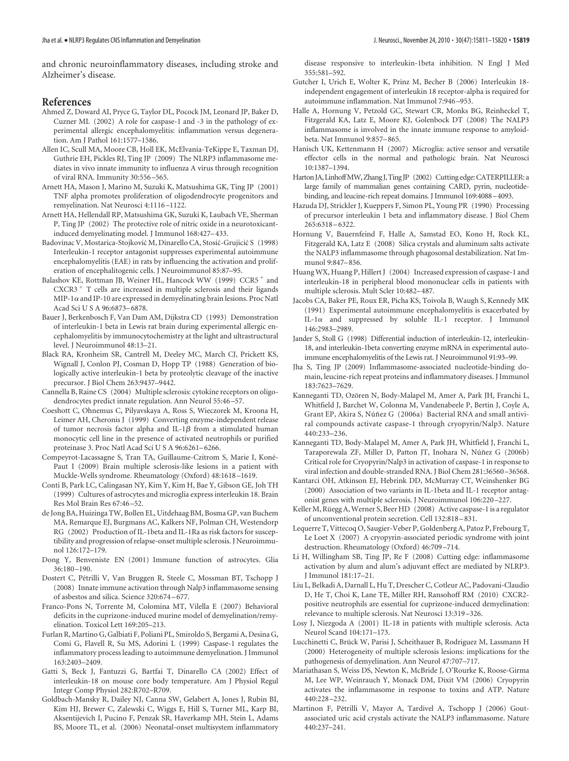and chronic neuroinflammatory diseases, including stroke and Alzheimer's disease.

## **References**

- Ahmed Z, Doward AI, Pryce G, Taylor DL, Pocock JM, Leonard JP, Baker D, Cuzner ML (2002) A role for caspase-1 and -3 in the pathology of experimental allergic encephalomyelitis: inflammation versus degeneration. Am J Pathol 161:1577–1586.
- Allen IC, Scull MA, Moore CB, Holl EK, McElvania-TeKippe E, Taxman DJ, Guthrie EH, Pickles RJ, Ting JP (2009) The NLRP3 inflammasome mediates in vivo innate immunity to influenza A virus through recognition of viral RNA. Immunity 30:556 –565.
- Arnett HA, Mason J, Marino M, Suzuki K, Matsushima GK, Ting JP (2001) TNF alpha promotes proliferation of oligodendrocyte progenitors and remyelination. Nat Neurosci 4:1116 –1122.
- Arnett HA, Hellendall RP, Matsushima GK, Suzuki K, Laubach VE, Sherman P, Ting JP (2002) The protective role of nitric oxide in a neurotoxicantinduced demyelinating model. J Immunol 168:427– 433.
- Badovinac V, Mostarica-Stojković M, Dinarello CA, Stosić-Grujicić S (1998) Interleukin-1 receptor antagonist suppresses experimental autoimmune encephalomyelitis (EAE) in rats by influencing the activation and proliferation of encephalitogenic cells. J Neuroimmunol 85:87–95.
- Balashov KE, Rottman JB, Weiner HL, Hancock WW (1999) CCR5<sup>+</sup> and  $CXCR3$ <sup>+</sup> T cells are increased in multiple sclerosis and their ligands MIP-1 $\alpha$  and IP-10 are expressed in demyelinating brain lesions. Proc Natl Acad Sci U S A 96:6873– 6878.
- Bauer J, Berkenbosch F, Van Dam AM, Dijkstra CD (1993) Demonstration of interleukin-1 beta in Lewis rat brain during experimental allergic encephalomyelitis by immunocytochemistry at the light and ultrastructural level. J Neuroimmunol 48:13–21.
- Black RA, Kronheim SR, Cantrell M, Deeley MC, March CJ, Prickett KS, Wignall J, Conlon PJ, Cosman D, Hopp TP (1988) Generation of biologically active interleukin-1 beta by proteolytic cleavage of the inactive precursor. J Biol Chem 263:9437–9442.
- Cannella B, Raine CS (2004) Multiple sclerosis: cytokine receptors on oligodendrocytes predict innate regulation. Ann Neurol 55:46 –57.
- Coeshott C, Ohnemus C, Pilyavskaya A, Ross S, Wieczorek M, Kroona H, Leimer AH, Cheronis J (1999) Converting enzyme-independent release of tumor necrosis factor alpha and IL-1 $\beta$  from a stimulated human monocytic cell line in the presence of activated neutrophils or purified proteinase 3. Proc Natl Acad Sci U S A 96:6261– 6266.
- Compeyrot-Lacassagne S, Tran TA, Guillaume-Czitrom S, Marie I, Koné-Paut I (2009) Brain multiple sclerosis-like lesions in a patient with Muckle-Wells syndrome. Rheumatology (Oxford) 48:1618 –1619.
- Conti B, Park LC, Calingasan NY, Kim Y, Kim H, Bae Y, Gibson GE, Joh TH (1999) Cultures of astrocytes and microglia express interleukin 18. Brain Res Mol Brain Res 67:46 –52.
- de Jong BA, Huizinga TW, Bollen EL, Uitdehaag BM, Bosma GP, van Buchem MA, Remarque EJ, Burgmans AC, Kalkers NF, Polman CH, Westendorp RG (2002) Production of IL-1beta and IL-1Ra as risk factors for susceptibility and progression of relapse-onset multiple sclerosis. J Neuroimmunol 126:172–179.
- Dong Y, Benveniste EN (2001) Immune function of astrocytes. Glia 36:180 –190.
- Dostert C, Pétrilli V, Van Bruggen R, Steele C, Mossman BT, Tschopp J (2008) Innate immune activation through Nalp3 inflammasome sensing of asbestos and silica. Science 320:674 – 677.
- Franco-Pons N, Torrente M, Colomina MT, Vilella E (2007) Behavioral deficits in the cuprizone-induced murine model of demyelination/remyelination. Toxicol Lett 169:205–213.
- Furlan R, Martino G, Galbiati F, Poliani PL, Smiroldo S, Bergami A, Desina G, Comi G, Flavell R, Su MS, Adorini L (1999) Caspase-1 regulates the inflammatory process leading to autoimmune demyelination. J Immunol 163:2403–2409.
- Gatti S, Beck J, Fantuzzi G, Bartfai T, Dinarello CA (2002) Effect of interleukin-18 on mouse core body temperature. Am J Physiol Regul Integr Comp Physiol 282:R702–R709.
- Goldbach-Mansky R, Dailey NJ, Canna SW, Gelabert A, Jones J, Rubin BI, Kim HJ, Brewer C, Zalewski C, Wiggs E, Hill S, Turner ML, Karp BI, Aksentijevich I, Pucino F, Penzak SR, Haverkamp MH, Stein L, Adams BS, Moore TL, et al. (2006) Neonatal-onset multisystem inflammatory

disease responsive to interleukin-1beta inhibition. N Engl J Med 355:581–592.

- Gutcher I, Urich E, Wolter K, Prinz M, Becher B (2006) Interleukin 18 independent engagement of interleukin 18 receptor-alpha is required for autoimmune inflammation. Nat Immunol 7:946 –953.
- Halle A, Hornung V, Petzold GC, Stewart CR, Monks BG, Reinheckel T, Fitzgerald KA, Latz E, Moore KJ, Golenbock DT (2008) The NALP3 inflammasome is involved in the innate immune response to amyloidbeta. Nat Immunol 9:857– 865.
- Hanisch UK, Kettenmann H (2007) Microglia: active sensor and versatile effector cells in the normal and pathologic brain. Nat Neurosci 10:1387–1394.
- Harton JA, Linhoff MW, Zhang J, Ting JP (2002) Cutting edge: CATERPILLER: a large family of mammalian genes containing CARD, pyrin, nucleotidebinding, and leucine-rich repeat domains. J Immunol 169:4088–4093.
- Hazuda DJ, Strickler J, Kueppers F, Simon PL, Young PR (1990) Processing of precursor interleukin 1 beta and inflammatory disease. J Biol Chem 265:6318 – 6322.
- Hornung V, Bauernfeind F, Halle A, Samstad EO, Kono H, Rock KL, Fitzgerald KA, Latz E (2008) Silica crystals and aluminum salts activate the NALP3 inflammasome through phagosomal destabilization. Nat Immunol 9:847– 856.
- Huang WX, Huang P, Hillert J (2004) Increased expression of caspase-1 and interleukin-18 in peripheral blood mononuclear cells in patients with multiple sclerosis. Mult Scler 10:482– 487.
- Jacobs CA, Baker PE, Roux ER, Picha KS, Toivola B, Waugh S, Kennedy MK (1991) Experimental autoimmune encephalomyelitis is exacerbated by IL-1 $\alpha$  and suppressed by soluble IL-1 receptor. J Immunol 146:2983–2989.
- Jander S, Stoll G (1998) Differential induction of interleukin-12, interleukin-18, and interleukin-1beta converting enzyme mRNA in experimental autoimmune encephalomyelitis of the Lewis rat. J Neuroimmunol 91:93–99.
- Jha S, Ting JP (2009) Inflammasome-associated nucleotide-binding domain, leucine-rich repeat proteins and inflammatory diseases. J Immunol 183:7623–7629.
- Kanneganti TD, Ozören N, Body-Malapel M, Amer A, Park JH, Franchi L, Whitfield J, Barchet W, Colonna M, Vandenabeele P, Bertin J, Coyle A, Grant EP, Akira S, Núñez G (2006a) Bacterial RNA and small antiviral compounds activate caspase-1 through cryopyrin/Nalp3. Nature 440:233–236.
- Kanneganti TD, Body-Malapel M, Amer A, Park JH, Whitfield J, Franchi L, Taraporewala ZF, Miller D, Patton JT, Inohara N, Núñez G (2006b) Critical role for Cryopyrin/Nalp3 in activation of caspase-1 in response to viral infection and double-stranded RNA. J Biol Chem 281:36560 –36568.
- Kantarci OH, Atkinson EJ, Hebrink DD, McMurray CT, Weinshenker BG (2000) Association of two variants in IL-1beta and IL-1 receptor antagonist genes with multiple sclerosis. J Neuroimmunol 106:220 –227.
- Keller M, Rüegg A, Werner S, Beer HD (2008) Active caspase-1 is a regulator of unconventional protein secretion. Cell 132:818 – 831.
- Lequerre T, Vittecoq O, Saugier-Veber P, Goldenberg A, Patoz P, Frebourg T, Le Loet X (2007) A cryopyrin-associated periodic syndrome with joint destruction. Rheumatology (Oxford) 46:709 –714.
- Li H, Willingham SB, Ting JP, Re F (2008) Cutting edge: inflammasome activation by alum and alum's adjuvant effect are mediated by NLRP3. J Immunol 181:17–21.
- Liu L, Belkadi A, Darnall L, Hu T, Drescher C, Cotleur AC, Padovani-Claudio D, He T, Choi K, Lane TE, Miller RH, Ransohoff RM (2010) CXCR2 positive neutrophils are essential for cuprizone-induced demyelination: relevance to multiple sclerosis. Nat Neurosci 13:319 –326.
- Losy J, Niezgoda A (2001) IL-18 in patients with multiple sclerosis. Acta Neurol Scand 104:171–173.
- Lucchinetti C, Brück W, Parisi J, Scheithauer B, Rodriguez M, Lassmann H (2000) Heterogeneity of multiple sclerosis lesions: implications for the pathogenesis of demyelination. Ann Neurol 47:707–717.
- Mariathasan S, Weiss DS, Newton K, McBride J, O'Rourke K, Roose-Girma M, Lee WP, Weinrauch Y, Monack DM, Dixit VM (2006) Cryopyrin activates the inflammasome in response to toxins and ATP. Nature 440:228 –232.
- Martinon F, Pétrilli V, Mayor A, Tardivel A, Tschopp J (2006) Goutassociated uric acid crystals activate the NALP3 inflammasome. Nature 440:237–241.